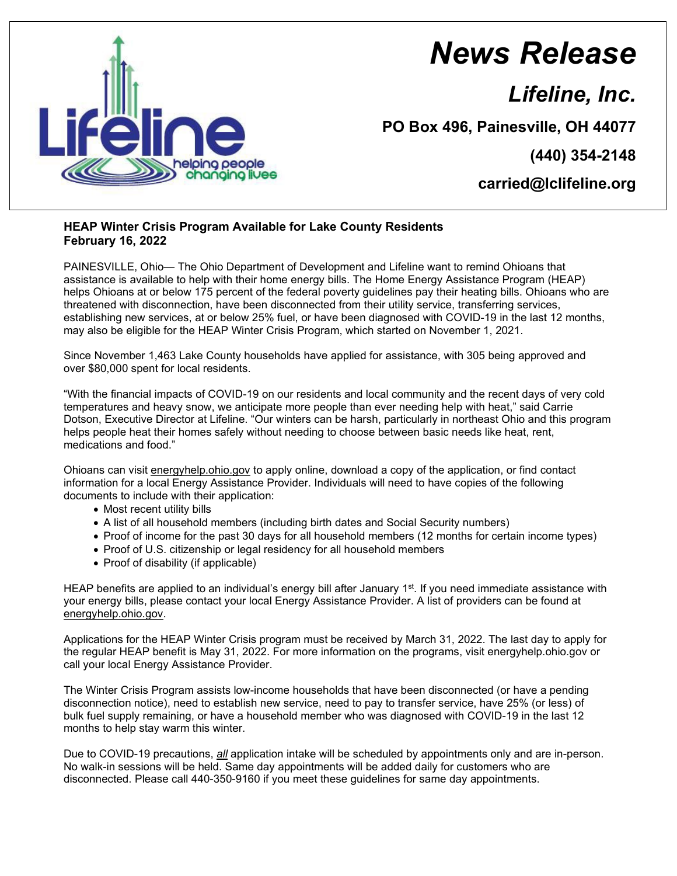

## *News Release*

*Lifeline, Inc.*

**PO Box 496, Painesville, OH 44077**

**(440) 354-2148**

**carried@lclifeline.org**

## **HEAP Winter Crisis Program Available for Lake County Residents February 16, 2022**

PAINESVILLE, Ohio— The Ohio Department of Development and Lifeline want to remind Ohioans that assistance is available to help with their home energy bills. The Home Energy Assistance Program (HEAP) helps Ohioans at or below 175 percent of the federal poverty guidelines pay their heating bills. Ohioans who are threatened with disconnection, have been disconnected from their utility service, transferring services, establishing new services, at or below 25% fuel, or have been diagnosed with COVID-19 in the last 12 months, may also be eligible for the HEAP Winter Crisis Program, which started on November 1, 2021.

Since November 1,463 Lake County households have applied for assistance, with 305 being approved and over \$80,000 spent for local residents.

"With the financial impacts of COVID-19 on our residents and local community and the recent days of very cold temperatures and heavy snow, we anticipate more people than ever needing help with heat," said Carrie Dotson, Executive Director at Lifeline. "Our winters can be harsh, particularly in northeast Ohio and this program helps people heat their homes safely without needing to choose between basic needs like heat, rent, medications and food."

Ohioans can visit energyhelp.ohio.gov to apply online, download a copy of the application, or find contact information for a local Energy Assistance Provider. Individuals will need to have copies of the following documents to include with their application:

- Most recent utility bills
- A list of all household members (including birth dates and Social Security numbers)
- Proof of income for the past 30 days for all household members (12 months for certain income types)
- Proof of U.S. citizenship or legal residency for all household members
- Proof of disability (if applicable)

HEAP benefits are applied to an individual's energy bill after January 1<sup>st</sup>. If you need immediate assistance with your energy bills, please contact your local Energy Assistance Provider. A list of providers can be found at energyhelp.ohio.gov.

Applications for the HEAP Winter Crisis program must be received by March 31, 2022. The last day to apply for the regular HEAP benefit is May 31, 2022. For more information on the programs, visit energyhelp.ohio.gov or call your local Energy Assistance Provider.

The Winter Crisis Program assists low-income households that have been disconnected (or have a pending disconnection notice), need to establish new service, need to pay to transfer service, have 25% (or less) of bulk fuel supply remaining, or have a household member who was diagnosed with COVID-19 in the last 12 months to help stay warm this winter.

Due to COVID-19 precautions, *all* application intake will be scheduled by appointments only and are in-person. No walk-in sessions will be held. Same day appointments will be added daily for customers who are disconnected. Please call 440-350-9160 if you meet these guidelines for same day appointments.